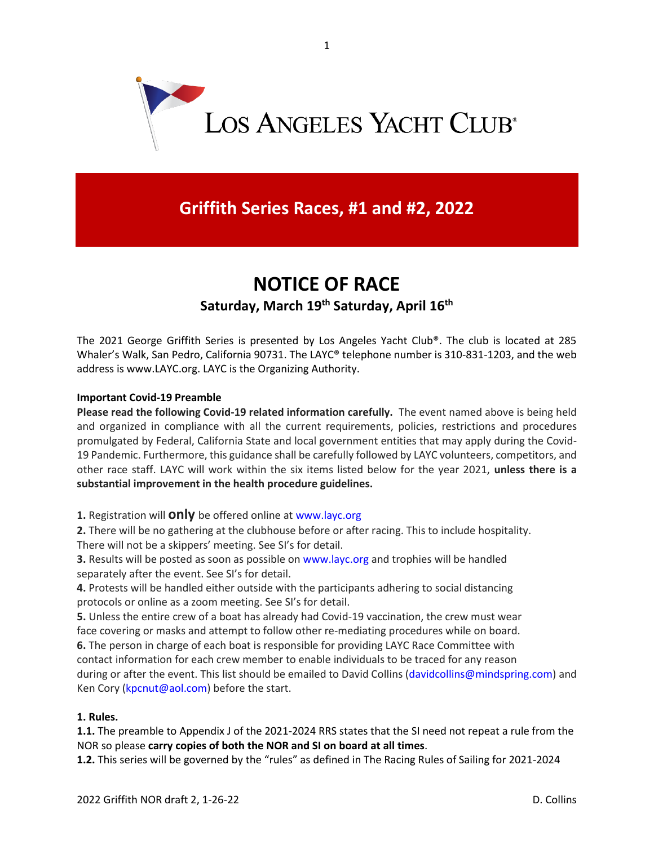

## **Griffith Series Races, #1 and #2, 2022**

# **NOTICE OF RACE**

### **Saturday, March 19th Saturday, April 16th**

The 2021 George Griffith Series is presented by Los Angeles Yacht Club®. The club is located at 285 Whaler's Walk, San Pedro, California 90731. The LAYC® telephone number is 310-831-1203, and the web address is www.LAYC.org. LAYC is the Organizing Authority.

#### **Important Covid-19 Preamble**

**Please read the following Covid-19 related information carefully.** The event named above is being held and organized in compliance with all the current requirements, policies, restrictions and procedures promulgated by Federal, California State and local government entities that may apply during the Covid-19 Pandemic. Furthermore, this guidance shall be carefully followed by LAYC volunteers, competitors, and other race staff. LAYC will work within the six items listed below for the year 2021, **unless there is a substantial improvement in the health procedure guidelines.**

**1.** Registration will **only** be offered online at www.layc.org

**2.** There will be no gathering at the clubhouse before or after racing. This to include hospitality. There will not be a skippers' meeting. See SI's for detail.

**3.** Results will be posted as soon as possible on www.layc.org and trophies will be handled separately after the event. See SI's for detail.

**4.** Protests will be handled either outside with the participants adhering to social distancing protocols or online as a zoom meeting. See SI's for detail.

**5.** Unless the entire crew of a boat has already had Covid-19 vaccination, the crew must wear face covering or masks and attempt to follow other re-mediating procedures while on board. **6.** The person in charge of each boat is responsible for providing LAYC Race Committee with contact information for each crew member to enable individuals to be traced for any reason during or after the event. This list should be emailed to David Collins (davidcollins@mindspring.com) and Ken Cory (kpcnut@aol.com) before the start.

#### **1. Rules.**

**1.1.** The preamble to Appendix J of the 2021-2024 RRS states that the SI need not repeat a rule from the NOR so please **carry copies of both the NOR and SI on board at all times**.

**1.2.** This series will be governed by the "rules" as defined in The Racing Rules of Sailing for 2021-2024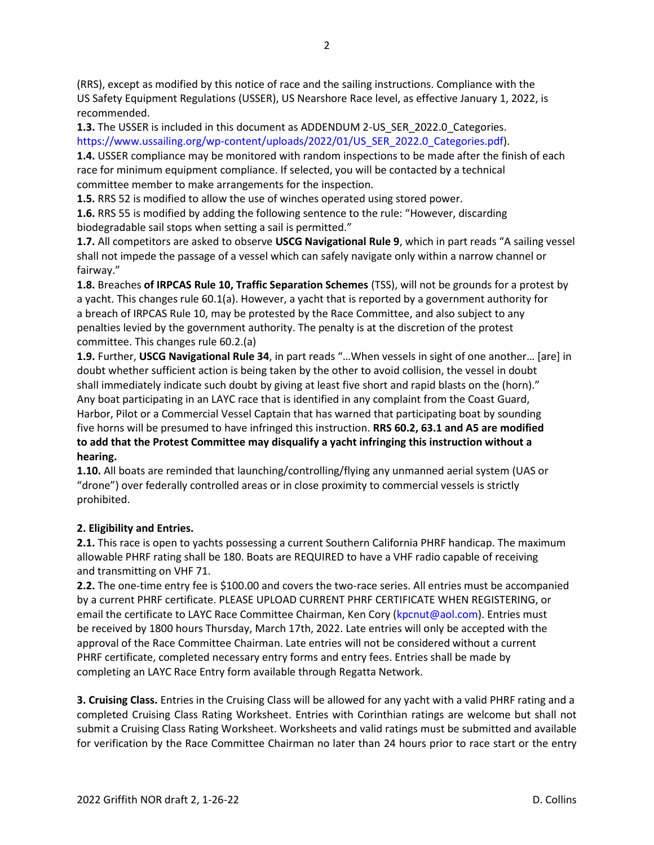(RRS), except as modified by this notice of race and the sailing instructions. Compliance with the US Safety Equipment Regulations (USSER), US Nearshore Race level, as effective January 1, 2022, is recommended.

**1.3.** The USSER is included in this document as ADDENDUM 2-US SER 2022.0 Categories. https://www.ussailing.org/wp-content/uploads/2022/01/US\_SER\_2022.0\_Categories.pdf).

**1.4.** USSER compliance may be monitored with random inspections to be made after the finish of each race for minimum equipment compliance. If selected, you will be contacted by a technical committee member to make arrangements for the inspection.

**1.5.** RRS 52 is modified to allow the use of winches operated using stored power.

**1.6.** RRS 55 is modified by adding the following sentence to the rule: "However, discarding biodegradable sail stops when setting a sail is permitted."

**1.7.** All competitors are asked to observe **USCG Navigational Rule 9**, which in part reads "A sailing vessel shall not impede the passage of a vessel which can safely navigate only within a narrow channel or fairway."

**1.8.** Breaches **of IRPCAS Rule 10, Traffic Separation Schemes** (TSS), will not be grounds for a protest by a yacht. This changes rule 60.1(a). However, a yacht that is reported by a government authority for a breach of IRPCAS Rule 10, may be protested by the Race Committee, and also subject to any penalties levied by the government authority. The penalty is at the discretion of the protest committee. This changes rule 60.2.(a)

**1.9.** Further, **USCG Navigational Rule 34**, in part reads "…When vessels in sight of one another… [are] in doubt whether sufficient action is being taken by the other to avoid collision, the vessel in doubt shall immediately indicate such doubt by giving at least five short and rapid blasts on the (horn)." Any boat participating in an LAYC race that is identified in any complaint from the Coast Guard, Harbor, Pilot or a Commercial Vessel Captain that has warned that participating boat by sounding five horns will be presumed to have infringed this instruction. **RRS 60.2, 63.1 and A5 are modified to add that the Protest Committee may disqualify a yacht infringing this instruction without a hearing.**

**1.10.** All boats are reminded that launching/controlling/flying any unmanned aerial system (UAS or "drone") over federally controlled areas or in close proximity to commercial vessels is strictly prohibited.

#### **2. Eligibility and Entries.**

**2.1.** This race is open to yachts possessing a current Southern California PHRF handicap. The maximum allowable PHRF rating shall be 180. Boats are REQUIRED to have a VHF radio capable of receiving and transmitting on VHF 71.

**2.2.** The one-time entry fee is \$100.00 and covers the two-race series. All entries must be accompanied by a current PHRF certificate. PLEASE UPLOAD CURRENT PHRF CERTIFICATE WHEN REGISTERING, or email the certificate to LAYC Race Committee Chairman, Ken Cory (kpcnut@aol.com). Entries must be received by 1800 hours Thursday, March 17th, 2022. Late entries will only be accepted with the approval of the Race Committee Chairman. Late entries will not be considered without a current PHRF certificate, completed necessary entry forms and entry fees. Entries shall be made by completing an LAYC Race Entry form available through Regatta Network.

**3. Cruising Class.** Entries in the Cruising Class will be allowed for any yacht with a valid PHRF rating and a completed Cruising Class Rating Worksheet. Entries with Corinthian ratings are welcome but shall not submit a Cruising Class Rating Worksheet. Worksheets and valid ratings must be submitted and available for verification by the Race Committee Chairman no later than 24 hours prior to race start or the entry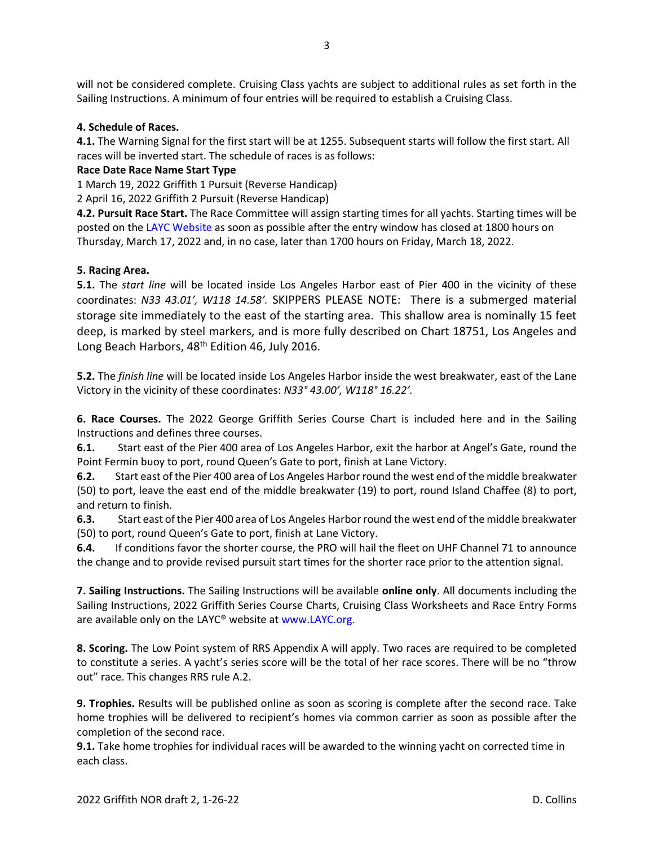will not be considered complete. Cruising Class yachts are subject to additional rules as set forth in the Sailing Instructions. A minimum of four entries will be required to establish a Cruising Class.

#### **4. Schedule of Races.**

**4.1.** The Warning Signal for the first start will be at 1255. Subsequent starts will follow the first start. All races will be inverted start. The schedule of races is as follows:

#### **Race Date Race Name Start Type**

1 March 19, 2022 Griffith 1 Pursuit (Reverse Handicap)

2 April 16, 2022 Griffith 2 Pursuit (Reverse Handicap)

**4.2. Pursuit Race Start.** The Race Committee will assign starting times for all yachts. Starting times will be posted on the LAYC Website as soon as possible after the entry window has closed at 1800 hours on Thursday, March 17, 2022 and, in no case, later than 1700 hours on Friday, March 18, 2022.

#### **5. Racing Area.**

**5.1.** The *start line* will be located inside Los Angeles Harbor east of Pier 400 in the vicinity of these coordinates: *N33 43.01', W118 14.58'.* SKIPPERS PLEASE NOTE: There is a submerged material storage site immediately to the east of the starting area. This shallow area is nominally 15 feet deep, is marked by steel markers, and is more fully described on Chart 18751, Los Angeles and Long Beach Harbors, 48<sup>th</sup> Edition 46, July 2016.

**5.2.** The *finish line* will be located inside Los Angeles Harbor inside the west breakwater, east of the Lane Victory in the vicinity of these coordinates: *N33° 43.00', W118° 16.22'.*

**6. Race Courses.** The 2022 George Griffith Series Course Chart is included here and in the Sailing Instructions and defines three courses.

**6.1.** Start east of the Pier 400 area of Los Angeles Harbor, exit the harbor at Angel's Gate, round the Point Fermin buoy to port, round Queen's Gate to port, finish at Lane Victory.

**6.2.** Start east of the Pier 400 area of Los Angeles Harbor round the west end of the middle breakwater (50) to port, leave the east end of the middle breakwater (19) to port, round Island Chaffee (8) to port, and return to finish.

**6.3.** Start east of the Pier 400 area of Los Angeles Harbor round the west end of the middle breakwater (50) to port, round Queen's Gate to port, finish at Lane Victory.

**6.4.** If conditions favor the shorter course, the PRO will hail the fleet on UHF Channel 71 to announce the change and to provide revised pursuit start times for the shorter race prior to the attention signal.

**7. Sailing Instructions.** The Sailing Instructions will be available **online only**. All documents including the Sailing Instructions, 2022 Griffith Series Course Charts, Cruising Class Worksheets and Race Entry Forms are available only on the LAYC® website at www.LAYC.org.

**8. Scoring.** The Low Point system of RRS Appendix A will apply. Two races are required to be completed to constitute a series. A yacht's series score will be the total of her race scores. There will be no "throw out" race. This changes RRS rule A.2.

**9. Trophies.** Results will be published online as soon as scoring is complete after the second race. Take home trophies will be delivered to recipient's homes via common carrier as soon as possible after the completion of the second race.

**9.1.** Take home trophies for individual races will be awarded to the winning yacht on corrected time in each class.